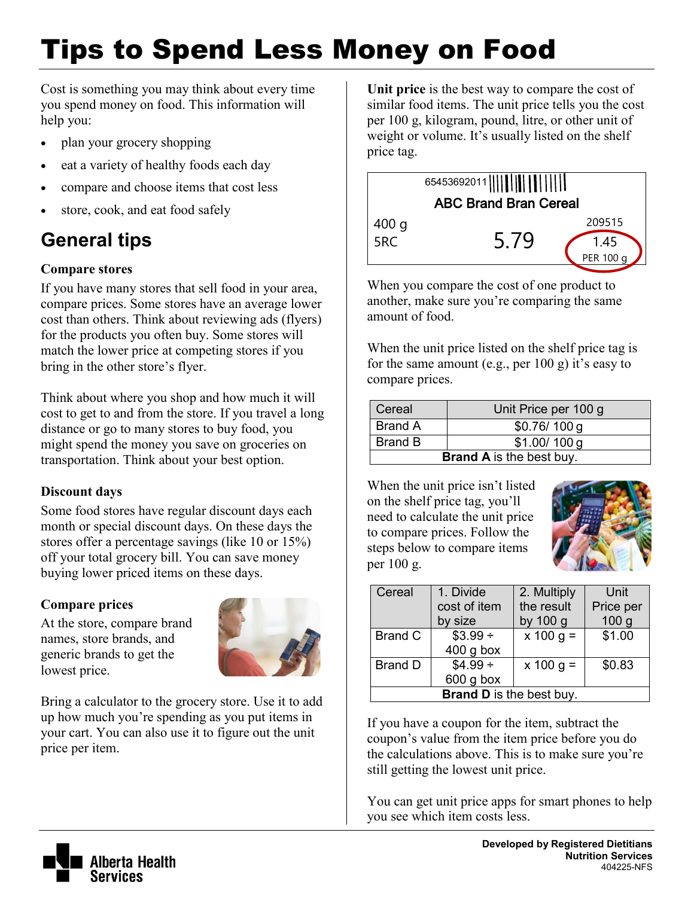# Tips to Spend Less Money on Food

Cost is something you may think about every time you spend money on food. This information will help you:

- plan your grocery shopping
- eat a variety of healthy foods each day
- compare and choose items that cost less
- store, cook, and eat food safely

## **General tips**

### **Compare stores**

If you have many stores that sell food in your area, compare prices. Some stores have an average lower cost than others. Think about reviewing ads (flyers) for the products you often buy. Some stores will match the lower price at competing stores if you bring in the other store's flyer.

Think about where you shop and how much it will cost to get to and from the store. If you travel a long distance or go to many stores to buy food, you might spend the money you save on groceries on transportation. Think about your best option.

### **Discount days**

Some food stores have regular discount days each month or special discount days. On these days the stores offer a percentage savings (like 10 or 15%) off your total grocery bill. You can save money buying lower priced items on these days.

### **Compare prices**

At the store, compare brand names, store brands, and generic brands to get the lowest price.



Bring a calculator to the grocery store. Use it to add up how much you're spending as you put items in your cart. You can also use it to figure out the unit price per item.

**Unit price** is the best way to compare the cost of similar food items. The unit price tells you the cost per 100 g, kilogram, pound, litre, or other unit of weight or volume. It's usually listed on the shelf price tag.



When you compare the cost of one product to another, make sure you're comparing the same amount of food.

When the unit price listed on the shelf price tag is for the same amount (e.g., per  $100 \text{ g}$ ) it's easy to compare prices.

| Cereal                          | Unit Price per 100 g |  |  |
|---------------------------------|----------------------|--|--|
| <b>Brand A</b>                  | \$0.76/100 g         |  |  |
| Brand B                         | \$1.00/100 g         |  |  |
| <b>Brand A</b> is the best buy. |                      |  |  |

When the unit price isn't listed on the shelf price tag, you'll need to calculate the unit price to compare prices. Follow the steps below to compare items per 100 g.



| Cereal                          | 1. Divide    | 2. Multiply            | Unit             |  |
|---------------------------------|--------------|------------------------|------------------|--|
|                                 | cost of item | the result             | Price per        |  |
|                                 | by size      | by 100 g               | 100 <sub>g</sub> |  |
| <b>Brand C</b>                  | $$3.99 \div$ | $\overline{x}$ 100 g = | \$1.00           |  |
|                                 | $400$ g box  |                        |                  |  |
| <b>Brand D</b>                  | $$4.99 +$    | $x 100 g =$            | \$0.83           |  |
|                                 | $600$ g box  |                        |                  |  |
| <b>Brand D</b> is the best buy. |              |                        |                  |  |

If you have a coupon for the item, subtract the coupon's value from the item price before you do the calculations above. This is to make sure you're still getting the lowest unit price.

You can get unit price apps for smart phones to help you see which item costs less.

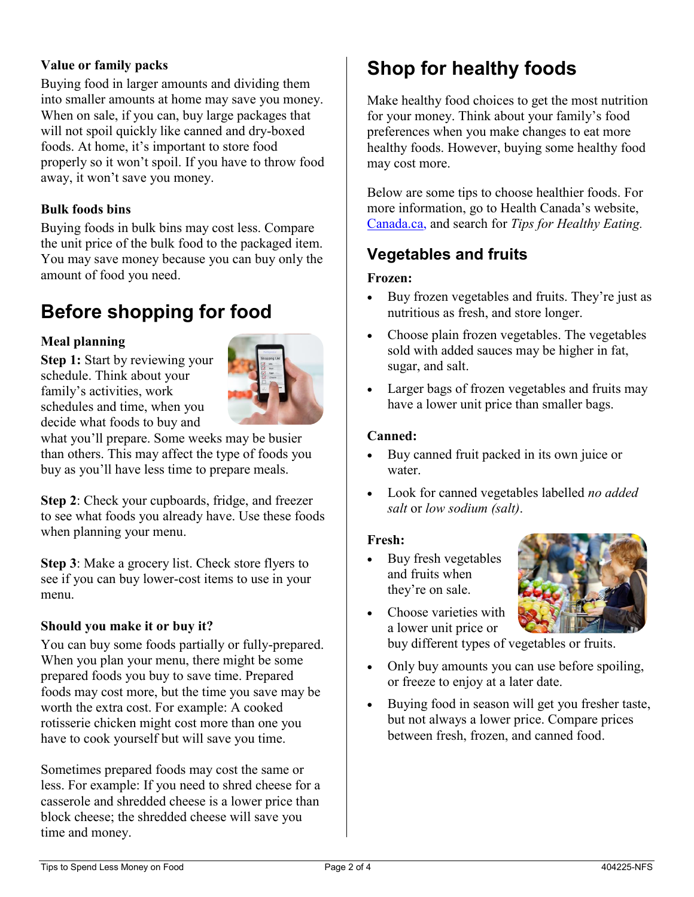#### **Value or family packs**

Buying food in larger amounts and dividing them into smaller amounts at home may save you money. When on sale, if you can, buy large packages that will not spoil quickly like canned and dry-boxed foods. At home, it's important to store food properly so it won't spoil. If you have to throw food away, it won't save you money.

#### **Bulk foods bins**

Buying foods in bulk bins may cost less. Compare the unit price of the bulk food to the packaged item. You may save money because you can buy only the amount of food you need.

## **Before shopping for food**

#### **Meal planning**

**Step 1:** Start by reviewing your schedule. Think about your family's activities, work schedules and time, when you decide what foods to buy and



what you'll prepare. Some weeks may be busier than others. This may affect the type of foods you buy as you'll have less time to prepare meals.

**Step 2**: Check your cupboards, fridge, and freezer to see what foods you already have. Use these foods when planning your menu.

**Step 3**: Make a grocery list. Check store flyers to see if you can buy lower-cost items to use in your menu.

#### **Should you make it or buy it?**

You can buy some foods partially or fully-prepared. When you plan your menu, there might be some prepared foods you buy to save time. Prepared foods may cost more, but the time you save may be worth the extra cost. For example: A cooked rotisserie chicken might cost more than one you have to cook yourself but will save you time.

Sometimes prepared foods may cost the same or less. For example: If you need to shred cheese for a casserole and shredded cheese is a lower price than block cheese; the shredded cheese will save you time and money.

## **Shop for healthy foods**

Make healthy food choices to get the most nutrition for your money. Think about your family's food preferences when you make changes to eat more healthy foods. However, buying some healthy food may cost more.

Below are some tips to choose healthier foods. For more information, go to Health Canada's website, [Canada.ca,](https://www.canada.ca/en.html) and search for *[Tips for Healthy Eating.](https://food-guide.canada.ca/en/tips-for-healthy-eating/)*

## **Vegetables and fruits**

#### **Frozen:**

- Buy frozen vegetables and fruits. They're just as nutritious as fresh, and store longer.
- Choose plain frozen vegetables. The vegetables sold with added sauces may be higher in fat, sugar, and salt.
- Larger bags of frozen vegetables and fruits may have a lower unit price than smaller bags.

#### **Canned:**

- Buy canned fruit packed in its own juice or water.
- Look for canned vegetables labelled *no added salt* or *low sodium (salt)*.

#### **Fresh:**

 Buy fresh vegetables and fruits when they're on sale.



- Choose varieties with a lower unit price or buy different types of vegetables or fruits.
- Only buy amounts you can use before spoiling, or freeze to enjoy at a later date.
- Buying food in season will get you fresher taste, but not always a lower price. Compare prices between fresh, frozen, and canned food.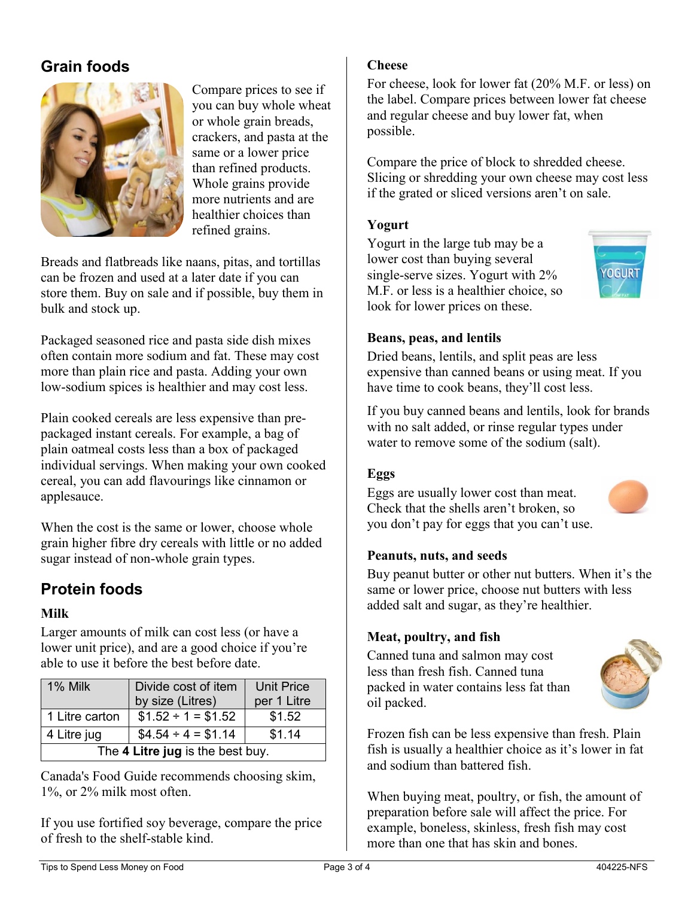## **Grain foods**



Compare prices to see if you can buy whole wheat or whole grain breads, crackers, and pasta at the same or a lower price than refined products. Whole grains provide more nutrients and are healthier choices than refined grains.

Breads and flatbreads like naans, pitas, and tortillas can be frozen and used at a later date if you can store them. Buy on sale and if possible, buy them in bulk and stock up.

Packaged seasoned rice and pasta side dish mixes often contain more sodium and fat. These may cost more than plain rice and pasta. Adding your own low-sodium spices is healthier and may cost less.

Plain cooked cereals are less expensive than prepackaged instant cereals. For example, a bag of plain oatmeal costs less than a box of packaged individual servings. When making your own cooked cereal, you can add flavourings like cinnamon or applesauce.

When the cost is the same or lower, choose whole grain higher fibre dry cereals with little or no added sugar instead of non-whole grain types.

## **Protein foods**

#### **Milk**

Larger amounts of milk can cost less (or have a lower unit price), and are a good choice if you're able to use it before the best before date.

| 1% Milk                          | Divide cost of item<br>by size (Litres) | <b>Unit Price</b><br>per 1 Litre |  |  |
|----------------------------------|-----------------------------------------|----------------------------------|--|--|
|                                  |                                         |                                  |  |  |
| 1 Litre carton                   | $$1.52 \div 1 = $1.52$                  | \$1.52                           |  |  |
| 4 Litre jug                      | $$4.54 \div 4 = $1.14$                  | \$1.14                           |  |  |
| The 4 Litre jug is the best buy. |                                         |                                  |  |  |

Canada's Food Guide recommends choosing skim, 1%, or 2% milk most often.

If you use fortified soy beverage, compare the price of fresh to the shelf-stable kind.

#### **Cheese**

For cheese, look for lower fat (20% M.F. or less) on the label. Compare prices between lower fat cheese and regular cheese and buy lower fat, when possible.

Compare the price of block to shredded cheese. Slicing or shredding your own cheese may cost less if the grated or sliced versions aren't on sale.

#### **Yogurt**

Yogurt in the large tub may be a lower cost than buying several single-serve sizes. Yogurt with 2% M.F. or less is a healthier choice, so look for lower prices on these.



#### **Beans, peas, and lentils**

Dried beans, lentils, and split peas are less expensive than canned beans or using meat. If you have time to cook beans, they'll cost less.

If you buy canned beans and lentils, look for brands with no salt added, or rinse regular types under water to remove some of the sodium (salt).

#### **Eggs**

Eggs are usually lower cost than meat. Check that the shells aren't broken, so you don't pay for eggs that you can't use.



Buy peanut butter or other nut butters. When it's the same or lower price, choose nut butters with less added salt and sugar, as they're healthier.

#### **Meat, poultry, and fish**

Canned tuna and salmon may cost less than fresh fish. Canned tuna packed in water contains less fat than oil packed.



Frozen fish can be less expensive than fresh. Plain fish is usually a healthier choice as it's lower in fat and sodium than battered fish.

When buying meat, poultry, or fish, the amount of preparation before sale will affect the price. For example, boneless, skinless, fresh fish may cost more than one that has skin and bones.